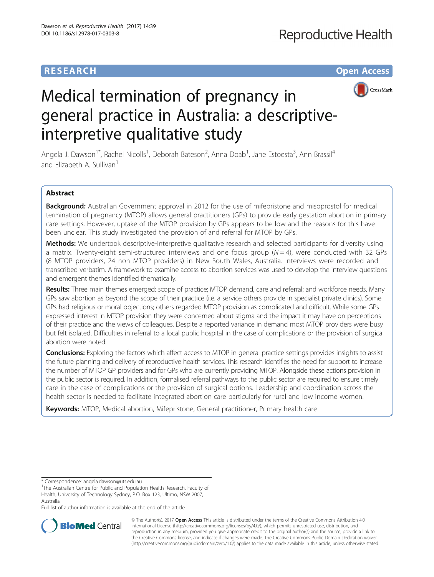# **RESEARCH CHE Open Access**



# Medical termination of pregnancy in general practice in Australia: a descriptiveinterpretive qualitative study

Angela J. Dawson<sup>1\*</sup>, Rachel Nicolls<sup>1</sup>, Deborah Bateson<sup>2</sup>, Anna Doab<sup>1</sup>, Jane Estoesta<sup>3</sup>, Ann Brassil<sup>4</sup> and Elizabeth A. Sullivan<sup>1</sup>

# Abstract

Background: Australian Government approval in 2012 for the use of mifepristone and misoprostol for medical termination of pregnancy (MTOP) allows general practitioners (GPs) to provide early gestation abortion in primary care settings. However, uptake of the MTOP provision by GPs appears to be low and the reasons for this have been unclear. This study investigated the provision of and referral for MTOP by GPs.

Methods: We undertook descriptive-interpretive qualitative research and selected participants for diversity using a matrix. Twenty-eight semi-structured interviews and one focus group  $(N = 4)$ , were conducted with 32 GPs (8 MTOP providers, 24 non MTOP providers) in New South Wales, Australia. Interviews were recorded and transcribed verbatim. A framework to examine access to abortion services was used to develop the interview questions and emergent themes identified thematically.

Results: Three main themes emerged: scope of practice; MTOP demand, care and referral; and workforce needs. Many GPs saw abortion as beyond the scope of their practice (i.e. a service others provide in specialist private clinics). Some GPs had religious or moral objections; others regarded MTOP provision as complicated and difficult. While some GPs expressed interest in MTOP provision they were concerned about stigma and the impact it may have on perceptions of their practice and the views of colleagues. Despite a reported variance in demand most MTOP providers were busy but felt isolated. Difficulties in referral to a local public hospital in the case of complications or the provision of surgical abortion were noted.

**Conclusions:** Exploring the factors which affect access to MTOP in general practice settings provides insights to assist the future planning and delivery of reproductive health services. This research identifies the need for support to increase the number of MTOP GP providers and for GPs who are currently providing MTOP. Alongside these actions provision in the public sector is required. In addition, formalised referral pathways to the public sector are required to ensure timely care in the case of complications or the provision of surgical options. Leadership and coordination across the health sector is needed to facilitate integrated abortion care particularly for rural and low income women.

Keywords: MTOP, Medical abortion, Mifepristone, General practitioner, Primary health care

\* Correspondence: [angela.dawson@uts.edu.au](mailto:angela.dawson@uts.edu.au) <sup>1</sup>

Full list of author information is available at the end of the article



© The Author(s). 2017 **Open Access** This article is distributed under the terms of the Creative Commons Attribution 4.0 International License [\(http://creativecommons.org/licenses/by/4.0/](http://creativecommons.org/licenses/by/4.0/)), which permits unrestricted use, distribution, and reproduction in any medium, provided you give appropriate credit to the original author(s) and the source, provide a link to the Creative Commons license, and indicate if changes were made. The Creative Commons Public Domain Dedication waiver [\(http://creativecommons.org/publicdomain/zero/1.0/](http://creativecommons.org/publicdomain/zero/1.0/)) applies to the data made available in this article, unless otherwise stated.

<sup>&</sup>lt;sup>1</sup>The Australian Centre for Public and Population Health Research, Faculty of Health, University of Technology Sydney, P.O. Box 123, Ultimo, NSW 2007, Australia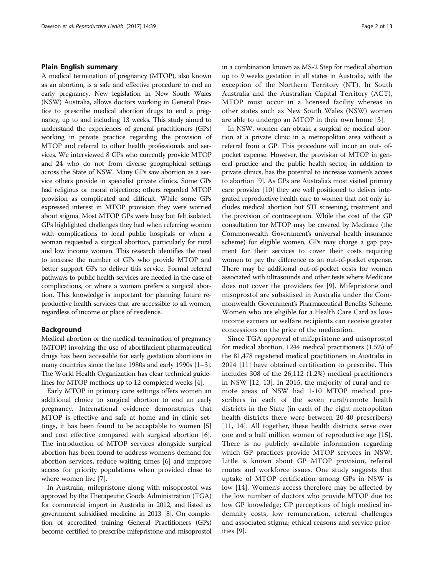#### Plain English summary

A medical termination of pregnancy (MTOP), also known as an abortion, is a safe and effective procedure to end an early pregnancy. New legislation in New South Wales (NSW) Australia, allows doctors working in General Practice to prescribe medical abortion drugs to end a pregnancy, up to and including 13 weeks. This study aimed to understand the experiences of general practitioners (GPs) working in private practice regarding the provision of MTOP and referral to other health professionals and services. We interviewed 8 GPs who currently provide MTOP and 24 who do not from diverse geographical settings across the State of NSW. Many GPs saw abortion as a service others provide in specialist private clinics. Some GPs had religious or moral objections; others regarded MTOP provision as complicated and difficult. While some GPs expressed interest in MTOP provision they were worried about stigma. Most MTOP GPs were busy but felt isolated. GPs highlighted challenges they had when referring women with complications to local public hospitals or when a woman requested a surgical abortion, particularly for rural and low income women. This research identifies the need to increase the number of GPs who provide MTOP and better support GPs to deliver this service. Formal referral pathways to public health services are needed in the case of complications, or where a woman prefers a surgical abortion. This knowledge is important for planning future reproductive health services that are accessible to all women, regardless of income or place of residence.

#### Background

Medical abortion or the medical termination of pregnancy (MTOP) involving the use of abortifacient pharmaceutical drugs has been accessible for early gestation abortions in many countries since the late 1980s and early 1990s [[1](#page-11-0)–[3](#page-11-0)]. The World Health Organization has clear technical guidelines for MTOP methods up to 12 completed weeks [\[4](#page-11-0)].

Early MTOP in primary care settings offers women an additional choice to surgical abortion to end an early pregnancy. International evidence demonstrates that MTOP is effective and safe at home and in clinic settings, it has been found to be acceptable to women [\[5](#page-11-0)] and cost effective compared with surgical abortion [\[6](#page-11-0)]. The introduction of MTOP services alongside surgical abortion has been found to address women's demand for abortion services, reduce waiting times [\[6](#page-11-0)] and improve access for priority populations when provided close to where women live [\[7](#page-11-0)].

In Australia, mifepristone along with misoprostol was approved by the Therapeutic Goods Administration (TGA) for commercial import in Australia in 2012, and listed as government subsidised medicine in 2013 [\[8\]](#page-11-0). On completion of accredited training General Practitioners (GPs) become certified to prescribe mifepristone and misoprostol in a combination known as MS-2 Step for medical abortion up to 9 weeks gestation in all states in Australia, with the exception of the Northern Territory (NT). In South Australia and the Australian Capital Territory (ACT), MTOP must occur in a licensed facility whereas in other states such as New South Wales (NSW) women are able to undergo an MTOP in their own home [[3\]](#page-11-0).

In NSW, women can obtain a surgical or medical abortion at a private clinic in a metropolitan area without a referral from a GP. This procedure will incur an out- ofpocket expense. However, the provision of MTOP in general practice and the public health sector, in addition to private clinics, has the potential to increase women's access to abortion [[9](#page-11-0)]. As GPs are Australia's most visited primary care provider [\[10](#page-11-0)] they are well positioned to deliver integrated reproductive health care to women that not only includes medical abortion but STI screening, treatment and the provision of contraception. While the cost of the GP consultation for MTOP may be covered by Medicare (the Commonwealth Government's universal health insurance scheme) for eligible women, GPs may charge a gap payment for their services to cover their costs requiring women to pay the difference as an out-of-pocket expense. There may be additional out-of-pocket costs for women associated with ultrasounds and other tests where Medicare does not cover the providers fee [[9](#page-11-0)]. Mifepristone and misoprostol are subsidised in Australia under the Commonwealth Government's Pharmaceutical Benefits Scheme. Women who are eligible for a Health Care Card as lowincome earners or welfare recipients can receive greater concessions on the price of the medication.

Since TGA approval of mifepristone and misoprostol for medical abortion, 1244 medical practitioners (1.5%) of the 81,478 registered medical practitioners in Australia in 2014 [[11\]](#page-11-0) have obtained certification to prescribe. This includes 308 of the 26,112 (1.2%) medical practitioners in NSW [[12, 13](#page-11-0)]. In 2015, the majority of rural and remote areas of NSW had 1-10 MTOP medical prescribers in each of the seven rural/remote health districts in the State (in each of the eight metropolitan health districts there were between 20-40 prescribers) [[11, 14\]](#page-11-0). All together, these health districts serve over one and a half million women of reproductive age [\[15](#page-11-0)]. There is no publicly available information regarding which GP practices provide MTOP services in NSW. Little is known about GP MTOP provision, referral routes and workforce issues. One study suggests that uptake of MTOP certification among GPs in NSW is low [\[14](#page-11-0)]. Women's access therefore may be affected by the low number of doctors who provide MTOP due to: low GP knowledge; GP perceptions of high medical indemnity costs, low remuneration, referral challenges and associated stigma; ethical reasons and service priorities [[9\]](#page-11-0).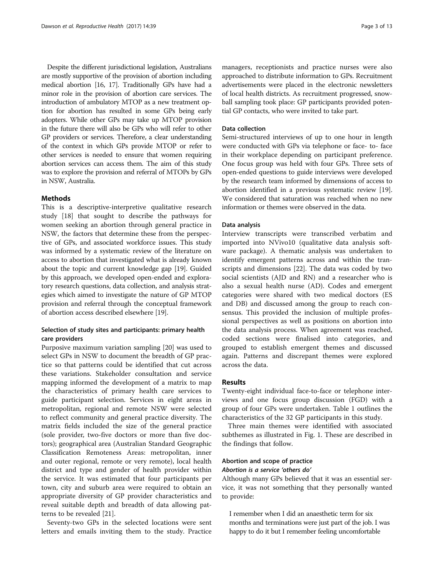Despite the different jurisdictional legislation, Australians are mostly supportive of the provision of abortion including medical abortion [\[16](#page-11-0), [17\]](#page-11-0). Traditionally GPs have had a minor role in the provision of abortion care services. The introduction of ambulatory MTOP as a new treatment option for abortion has resulted in some GPs being early adopters. While other GPs may take up MTOP provision in the future there will also be GPs who will refer to other GP providers or services. Therefore, a clear understanding of the context in which GPs provide MTOP or refer to other services is needed to ensure that women requiring abortion services can access them. The aim of this study was to explore the provision and referral of MTOPs by GPs in NSW, Australia.

# Methods

This is a descriptive-interpretive qualitative research study [[18\]](#page-11-0) that sought to describe the pathways for women seeking an abortion through general practice in NSW, the factors that determine these from the perspective of GPs, and associated workforce issues. This study was informed by a systematic review of the literature on access to abortion that investigated what is already known about the topic and current knowledge gap [\[19](#page-11-0)]. Guided by this approach, we developed open-ended and exploratory research questions, data collection, and analysis strategies which aimed to investigate the nature of GP MTOP provision and referral through the conceptual framework of abortion access described elsewhere [\[19\]](#page-11-0).

# Selection of study sites and participants: primary health care providers

Purposive maximum variation sampling [\[20](#page-11-0)] was used to select GPs in NSW to document the breadth of GP practice so that patterns could be identified that cut across these variations. Stakeholder consultation and service mapping informed the development of a matrix to map the characteristics of primary health care services to guide participant selection. Services in eight areas in metropolitan, regional and remote NSW were selected to reflect community and general practice diversity. The matrix fields included the size of the general practice (sole provider, two-five doctors or more than five doctors); geographical area (Australian Standard Geographic Classification Remoteness Areas: metropolitan, inner and outer regional, remote or very remote), local health district and type and gender of health provider within the service. It was estimated that four participants per town, city and suburb area were required to obtain an appropriate diversity of GP provider characteristics and reveal suitable depth and breadth of data allowing patterns to be revealed [\[21](#page-11-0)].

Seventy-two GPs in the selected locations were sent letters and emails inviting them to the study. Practice

managers, receptionists and practice nurses were also approached to distribute information to GPs. Recruitment advertisements were placed in the electronic newsletters of local health districts. As recruitment progressed, snowball sampling took place: GP participants provided potential GP contacts, who were invited to take part.

#### Data collection

Semi-structured interviews of up to one hour in length were conducted with GPs via telephone or face- to- face in their workplace depending on participant preference. One focus group was held with four GPs. Three sets of open-ended questions to guide interviews were developed by the research team informed by dimensions of access to abortion identified in a previous systematic review [[19](#page-11-0)]. We considered that saturation was reached when no new information or themes were observed in the data.

#### Data analysis

Interview transcripts were transcribed verbatim and imported into NVivo10 (qualitative data analysis software package). A thematic analysis was undertaken to identify emergent patterns across and within the transcripts and dimensions [\[22\]](#page-11-0). The data was coded by two social scientists (AJD and RN) and a researcher who is also a sexual health nurse (AD). Codes and emergent categories were shared with two medical doctors (ES and DB) and discussed among the group to reach consensus. This provided the inclusion of multiple professional perspectives as well as positions on abortion into the data analysis process. When agreement was reached, coded sections were finalised into categories, and grouped to establish emergent themes and discussed again. Patterns and discrepant themes were explored across the data.

#### Results

Twenty-eight individual face-to-face or telephone interviews and one focus group discussion (FGD) with a group of four GPs were undertaken. Table [1](#page-3-0) outlines the characteristics of the 32 GP participants in this study.

Three main themes were identified with associated subthemes as illustrated in Fig. [1](#page-3-0). These are described in the findings that follow.

## Abortion and scope of practice Abortion is a service 'others do'

Although many GPs believed that it was an essential service, it was not something that they personally wanted to provide:

I remember when I did an anaesthetic term for six months and terminations were just part of the job. I was happy to do it but I remember feeling uncomfortable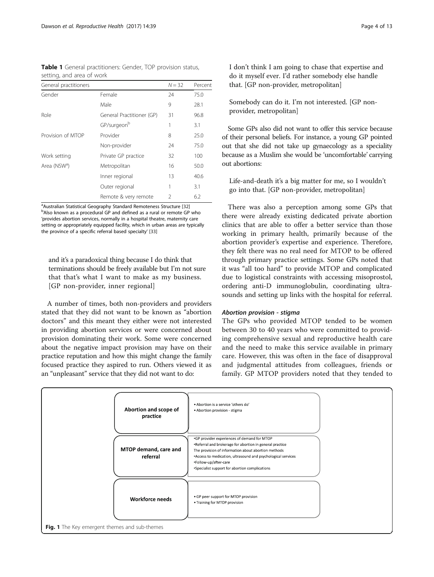|                                 | Percent  |
|---------------------------------|----------|
| 24                              | 75.0     |
| 9                               | 28.1     |
| 31<br>General Practitioner (GP) | 96.8     |
| 1                               | 3.1      |
| 8                               | 25.0     |
| 24                              | 75.0     |
| 32                              | 100      |
| 16                              | 50.0     |
| 13                              | 40.6     |
| 1                               | 3.1      |
| $\mathcal{P}$                   | 6.2      |
|                                 | $N = 32$ |

<span id="page-3-0"></span>Table 1 General practitioners: Gender, TOP provision status, setting, and area of work

<sup>a</sup> Australian Statistical Geography Standard Remoteness Structure [[32\]](#page-12-0)<br><sup>b</sup>Also known as a procedural GP and defined as a rural or remote GP bAlso known as a procedural GP and defined as a rural or remote GP who 'provides abortion services, normally in a hospital theatre, maternity care setting or appropriately equipped facility, which in urban areas are typically the province of a specific referral based specialty' [[33\]](#page-12-0)

and it's a paradoxical thing because I do think that terminations should be freely available but I'm not sure that that's what I want to make as my business. [GP non-provider, inner regional]

A number of times, both non-providers and providers stated that they did not want to be known as "abortion doctors" and this meant they either were not interested in providing abortion services or were concerned about provision dominating their work. Some were concerned about the negative impact provision may have on their practice reputation and how this might change the family focused practice they aspired to run. Others viewed it as an "unpleasant" service that they did not want to do:

I don't think I am going to chase that expertise and do it myself ever. I'd rather somebody else handle that. [GP non-provider, metropolitan]

Somebody can do it. I'm not interested. [GP nonprovider, metropolitan]

Some GPs also did not want to offer this service because of their personal beliefs. For instance, a young GP pointed out that she did not take up gynaecology as a speciality because as a Muslim she would be 'uncomfortable' carrying out abortions:

Life-and-death it's a big matter for me, so I wouldn't go into that. [GP non-provider, metropolitan]

There was also a perception among some GPs that there were already existing dedicated private abortion clinics that are able to offer a better service than those working in primary health, primarily because of the abortion provider's expertise and experience. Therefore, they felt there was no real need for MTOP to be offered through primary practice settings. Some GPs noted that it was "all too hard" to provide MTOP and complicated due to logistical constraints with accessing misoprostol, ordering anti-D immunoglobulin, coordinating ultrasounds and setting up links with the hospital for referral.

#### Abortion provision - stigma

The GPs who provided MTOP tended to be women between 30 to 40 years who were committed to providing comprehensive sexual and reproductive health care and the need to make this service available in primary care. However, this was often in the face of disapproval and judgmental attitudes from colleagues, friends or family. GP MTOP providers noted that they tended to

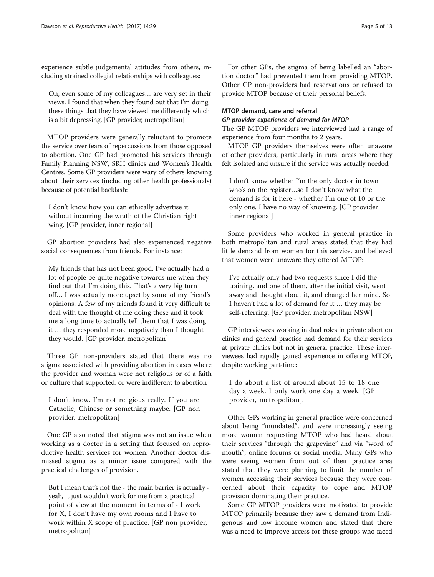experience subtle judgemental attitudes from others, including strained collegial relationships with colleagues:

Oh, even some of my colleagues… are very set in their views. I found that when they found out that I'm doing these things that they have viewed me differently which is a bit depressing. [GP provider, metropolitan]

MTOP providers were generally reluctant to promote the service over fears of repercussions from those opposed to abortion. One GP had promoted his services through Family Planning NSW, SRH clinics and Women's Health Centres. Some GP providers were wary of others knowing about their services (including other health professionals) because of potential backlash:

I don't know how you can ethically advertise it without incurring the wrath of the Christian right wing. [GP provider, inner regional]

GP abortion providers had also experienced negative social consequences from friends. For instance:

My friends that has not been good. I've actually had a lot of people be quite negative towards me when they find out that I'm doing this. That's a very big turn off… I was actually more upset by some of my friend's opinions. A few of my friends found it very difficult to deal with the thought of me doing these and it took me a long time to actually tell them that I was doing it … they responded more negatively than I thought they would. [GP provider, metropolitan]

Three GP non-providers stated that there was no stigma associated with providing abortion in cases where the provider and woman were not religious or of a faith or culture that supported, or were indifferent to abortion

I don't know. I'm not religious really. If you are Catholic, Chinese or something maybe. [GP non provider, metropolitan]

One GP also noted that stigma was not an issue when working as a doctor in a setting that focused on reproductive health services for women. Another doctor dismissed stigma as a minor issue compared with the practical challenges of provision.

But I mean that's not the - the main barrier is actually yeah, it just wouldn't work for me from a practical point of view at the moment in terms of - I work for X, I don't have my own rooms and I have to work within X scope of practice. [GP non provider, metropolitan]

For other GPs, the stigma of being labelled an "abortion doctor" had prevented them from providing MTOP. Other GP non-providers had reservations or refused to provide MTOP because of their personal beliefs.

# MTOP demand, care and referral

# GP provider experience of demand for MTOP

The GP MTOP providers we interviewed had a range of experience from four months to 2 years.

MTOP GP providers themselves were often unaware of other providers, particularly in rural areas where they felt isolated and unsure if the service was actually needed.

I don't know whether I'm the only doctor in town who's on the register…so I don't know what the demand is for it here - whether I'm one of 10 or the only one. I have no way of knowing. [GP provider inner regional]

Some providers who worked in general practice in both metropolitan and rural areas stated that they had little demand from women for this service, and believed that women were unaware they offered MTOP:

I've actually only had two requests since I did the training, and one of them, after the initial visit, went away and thought about it, and changed her mind. So I haven't had a lot of demand for it … they may be self-referring. [GP provider, metropolitan NSW]

GP interviewees working in dual roles in private abortion clinics and general practice had demand for their services at private clinics but not in general practice. These interviewees had rapidly gained experience in offering MTOP, despite working part-time:

I do about a list of around about 15 to 18 one day a week. I only work one day a week. [GP provider, metropolitan].

Other GPs working in general practice were concerned about being "inundated", and were increasingly seeing more women requesting MTOP who had heard about their services "through the grapevine" and via "word of mouth", online forums or social media. Many GPs who were seeing women from out of their practice area stated that they were planning to limit the number of women accessing their services because they were concerned about their capacity to cope and MTOP provision dominating their practice.

Some GP MTOP providers were motivated to provide MTOP primarily because they saw a demand from Indigenous and low income women and stated that there was a need to improve access for these groups who faced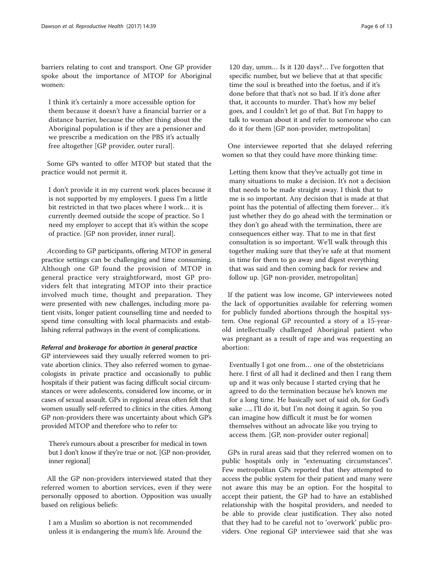barriers relating to cost and transport. One GP provider spoke about the importance of MTOP for Aboriginal women:

I think it's certainly a more accessible option for them because it doesn't have a financial barrier or a distance barrier, because the other thing about the Aboriginal population is if they are a pensioner and we prescribe a medication on the PBS it's actually free altogether [GP provider, outer rural].

Some GPs wanted to offer MTOP but stated that the practice would not permit it.

I don't provide it in my current work places because it is not supported by my employers. I guess I'm a little bit restricted in that two places where I work… it is currently deemed outside the scope of practice. So I need my employer to accept that it's within the scope of practice. [GP non provider, inner rural].

According to GP participants, offering MTOP in general practice settings can be challenging and time consuming. Although one GP found the provision of MTOP in general practice very straightforward, most GP providers felt that integrating MTOP into their practice involved much time, thought and preparation. They were presented with new challenges, including more patient visits, longer patient counselling time and needed to spend time consulting with local pharmacists and establishing referral pathways in the event of complications.

#### Referral and brokerage for abortion in general practice

GP interviewees said they usually referred women to private abortion clinics. They also referred women to gynaecologists in private practice and occasionally to public hospitals if their patient was facing difficult social circumstances or were adolescents, considered low income, or in cases of sexual assault. GPs in regional areas often felt that women usually self-referred to clinics in the cities. Among GP non-providers there was uncertainty about which GP's provided MTOP and therefore who to refer to:

There's rumours about a prescriber for medical in town but I don't know if they're true or not. [GP non-provider, inner regional]

All the GP non-providers interviewed stated that they referred women to abortion services, even if they were personally opposed to abortion. Opposition was usually based on religious beliefs:

I am a Muslim so abortion is not recommended unless it is endangering the mum's life. Around the

120 day, umm… Is it 120 days?… I've forgotten that specific number, but we believe that at that specific time the soul is breathed into the foetus, and if it's done before that that's not so bad. If it's done after that, it accounts to murder. That's how my belief goes, and I couldn't let go of that. But I'm happy to talk to woman about it and refer to someone who can do it for them [GP non-provider, metropolitan]

One interviewee reported that she delayed referring women so that they could have more thinking time:

Letting them know that they've actually got time in many situations to make a decision. It's not a decision that needs to be made straight away. I think that to me is so important. Any decision that is made at that point has the potential of affecting them forever… it's just whether they do go ahead with the termination or they don't go ahead with the termination, there are consequences either way. That to me in that first consultation is so important. We'll walk through this together making sure that they're safe at that moment in time for them to go away and digest everything that was said and then coming back for review and follow up. [GP non-provider, metropolitan]

If the patient was low income, GP interviewees noted the lack of opportunities available for referring women for publicly funded abortions through the hospital system. One regional GP recounted a story of a 15-yearold intellectually challenged Aboriginal patient who was pregnant as a result of rape and was requesting an abortion:

Eventually I got one from… one of the obstetricians here. I first of all had it declined and then I rang them up and it was only because I started crying that he agreed to do the termination because he's known me for a long time. He basically sort of said oh, for God's sake …, I'll do it, but I'm not doing it again. So you can imagine how difficult it must be for women themselves without an advocate like you trying to access them. [GP, non-provider outer regional]

GPs in rural areas said that they referred women on to public hospitals only in "extenuating circumstances". Few metropolitan GPs reported that they attempted to access the public system for their patient and many were not aware this may be an option. For the hospital to accept their patient, the GP had to have an established relationship with the hospital providers, and needed to be able to provide clear justification. They also noted that they had to be careful not to 'overwork' public providers. One regional GP interviewee said that she was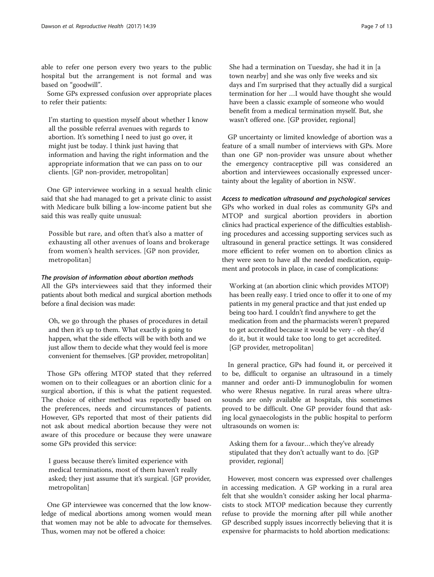able to refer one person every two years to the public hospital but the arrangement is not formal and was based on "goodwill".

Some GPs expressed confusion over appropriate places to refer their patients:

I'm starting to question myself about whether I know all the possible referral avenues with regards to abortion. It's something I need to just go over, it might just be today. I think just having that information and having the right information and the appropriate information that we can pass on to our clients. [GP non-provider, metropolitan]

One GP interviewee working in a sexual health clinic said that she had managed to get a private clinic to assist with Medicare bulk billing a low-income patient but she said this was really quite unusual:

Possible but rare, and often that's also a matter of exhausting all other avenues of loans and brokerage from women's health services. [GP non provider, metropolitan]

#### The provision of information about abortion methods

All the GPs interviewees said that they informed their patients about both medical and surgical abortion methods before a final decision was made:

Oh, we go through the phases of procedures in detail and then it's up to them. What exactly is going to happen, what the side effects will be with both and we just allow them to decide what they would feel is more convenient for themselves. [GP provider, metropolitan]

Those GPs offering MTOP stated that they referred women on to their colleagues or an abortion clinic for a surgical abortion, if this is what the patient requested. The choice of either method was reportedly based on the preferences, needs and circumstances of patients. However, GPs reported that most of their patients did not ask about medical abortion because they were not aware of this procedure or because they were unaware some GPs provided this service:

I guess because there's limited experience with medical terminations, most of them haven't really asked; they just assume that it's surgical. [GP provider, metropolitan]

One GP interviewee was concerned that the low knowledge of medical abortions among women would mean that women may not be able to advocate for themselves. Thus, women may not be offered a choice:

She had a termination on Tuesday, she had it in [a town nearby] and she was only five weeks and six days and I'm surprised that they actually did a surgical termination for her …I would have thought she would have been a classic example of someone who would benefit from a medical termination myself. But, she wasn't offered one. [GP provider, regional]

GP uncertainty or limited knowledge of abortion was a feature of a small number of interviews with GPs. More than one GP non-provider was unsure about whether the emergency contraceptive pill was considered an abortion and interviewees occasionally expressed uncertainty about the legality of abortion in NSW.

#### Access to medication ultrasound and psychological services

GPs who worked in dual roles as community GPs and MTOP and surgical abortion providers in abortion clinics had practical experience of the difficulties establishing procedures and accessing supporting services such as ultrasound in general practice settings. It was considered more efficient to refer women on to abortion clinics as they were seen to have all the needed medication, equipment and protocols in place, in case of complications:

Working at (an abortion clinic which provides MTOP) has been really easy. I tried once to offer it to one of my patients in my general practice and that just ended up being too hard. I couldn't find anywhere to get the medication from and the pharmacists weren't prepared to get accredited because it would be very - oh they'd do it, but it would take too long to get accredited. [GP provider, metropolitan]

In general practice, GPs had found it, or perceived it to be, difficult to organise an ultrasound in a timely manner and order anti-D immunoglobulin for women who were Rhesus negative. In rural areas where ultrasounds are only available at hospitals, this sometimes proved to be difficult. One GP provider found that asking local gynaecologists in the public hospital to perform ultrasounds on women is:

Asking them for a favour…which they've already stipulated that they don't actually want to do. [GP provider, regional]

However, most concern was expressed over challenges in accessing medication. A GP working in a rural area felt that she wouldn't consider asking her local pharmacists to stock MTOP medication because they currently refuse to provide the morning after pill while another GP described supply issues incorrectly believing that it is expensive for pharmacists to hold abortion medications: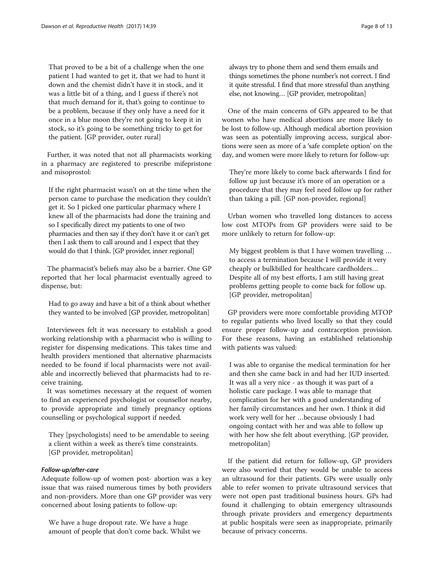That proved to be a bit of a challenge when the one patient I had wanted to get it, that we had to hunt it down and the chemist didn't have it in stock, and it was a little bit of a thing, and I guess if there's not that much demand for it, that's going to continue to be a problem, because if they only have a need for it once in a blue moon they're not going to keep it in stock, so it's going to be something tricky to get for the patient. [GP provider, outer rural]

Further, it was noted that not all pharmacists working in a pharmacy are registered to prescribe mifepristone and misoprostol:

If the right pharmacist wasn't on at the time when the person came to purchase the medication they couldn't get it. So I picked one particular pharmacy where I knew all of the pharmacists had done the training and so I specifically direct my patients to one of two pharmacies and then say if they don't have it or can't get then I ask them to call around and I expect that they would do that I think. [GP provider, inner regional]

The pharmacist's beliefs may also be a barrier. One GP reported that her local pharmacist eventually agreed to dispense, but:

Had to go away and have a bit of a think about whether they wanted to be involved [GP provider, metropolitan]

Interviewees felt it was necessary to establish a good working relationship with a pharmacist who is willing to register for dispensing medications. This takes time and health providers mentioned that alternative pharmacists needed to be found if local pharmacists were not available and incorrectly believed that pharmacists had to receive training.

It was sometimes necessary at the request of women to find an experienced psychologist or counsellor nearby, to provide appropriate and timely pregnancy options counselling or psychological support if needed.

They [psychologists] need to be amendable to seeing a client within a week as there's time constraints. [GP provider, metropolitan]

#### Follow-up/after-care

Adequate follow-up of women post- abortion was a key issue that was raised numerous times by both providers and non-providers. More than one GP provider was very concerned about losing patients to follow-up:

We have a huge dropout rate. We have a huge amount of people that don't come back. Whilst we always try to phone them and send them emails and things sometimes the phone number's not correct. I find it quite stressful. I find that more stressful than anything else, not knowing… [GP provider, metropolitan]

One of the main concerns of GPs appeared to be that women who have medical abortions are more likely to be lost to follow-up. Although medical abortion provision was seen as potentially improving access, surgical abortions were seen as more of a 'safe complete option' on the day, and women were more likely to return for follow-up:

They're more likely to come back afterwards I find for follow up just because it's more of an operation or a procedure that they may feel need follow up for rather than taking a pill. [GP non-provider, regional]

Urban women who travelled long distances to access low cost MTOPs from GP providers were said to be more unlikely to return for follow-up:

My biggest problem is that I have women travelling … to access a termination because I will provide it very cheaply or bulkbilled for healthcare cardholders… Despite all of my best efforts, I am still having great problems getting people to come back for follow up. [GP provider, metropolitan]

GP providers were more comfortable providing MTOP to regular patients who lived locally so that they could ensure proper follow-up and contraception provision. For these reasons, having an established relationship with patients was valued:

I was able to organise the medical termination for her and then she came back in and had her IUD inserted. It was all a very nice - as though it was part of a holistic care package. I was able to manage that complication for her with a good understanding of her family circumstances and her own. I think it did work very well for her …because obviously I had ongoing contact with her and was able to follow up with her how she felt about everything. [GP provider, metropolitan]

If the patient did return for follow-up, GP providers were also worried that they would be unable to access an ultrasound for their patients. GPs were usually only able to refer women to private ultrasound services that were not open past traditional business hours. GPs had found it challenging to obtain emergency ultrasounds through private providers and emergency departments at public hospitals were seen as inappropriate, primarily because of privacy concerns.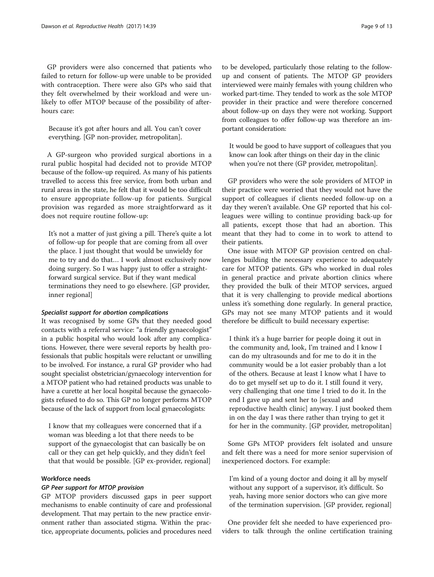GP providers were also concerned that patients who failed to return for follow-up were unable to be provided with contraception. There were also GPs who said that they felt overwhelmed by their workload and were unlikely to offer MTOP because of the possibility of afterhours care:

Because it's got after hours and all. You can't cover everything. [GP non-provider, metropolitan].

A GP-surgeon who provided surgical abortions in a rural public hospital had decided not to provide MTOP because of the follow-up required. As many of his patients travelled to access this free service, from both urban and rural areas in the state, he felt that it would be too difficult to ensure appropriate follow-up for patients. Surgical provision was regarded as more straightforward as it does not require routine follow-up:

It's not a matter of just giving a pill. There's quite a lot of follow-up for people that are coming from all over the place. I just thought that would be unwieldy for me to try and do that… I work almost exclusively now doing surgery. So I was happy just to offer a straightforward surgical service. But if they want medical terminations they need to go elsewhere. [GP provider, inner regional]

#### Specialist support for abortion complications

It was recognised by some GPs that they needed good contacts with a referral service: "a friendly gynaecologist" in a public hospital who would look after any complications. However, there were several reports by health professionals that public hospitals were reluctant or unwilling to be involved. For instance, a rural GP provider who had sought specialist obstetrician/gynaecology intervention for a MTOP patient who had retained products was unable to have a curette at her local hospital because the gynaecologists refused to do so. This GP no longer performs MTOP because of the lack of support from local gynaecologists:

I know that my colleagues were concerned that if a woman was bleeding a lot that there needs to be support of the gynaecologist that can basically be on call or they can get help quickly, and they didn't feel that that would be possible. [GP ex-provider, regional]

#### Workforce needs

#### GP Peer support for MTOP provision

GP MTOP providers discussed gaps in peer support mechanisms to enable continuity of care and professional development. That may pertain to the new practice environment rather than associated stigma. Within the practice, appropriate documents, policies and procedures need

to be developed, particularly those relating to the followup and consent of patients. The MTOP GP providers interviewed were mainly females with young children who worked part-time. They tended to work as the sole MTOP provider in their practice and were therefore concerned about follow-up on days they were not working. Support from colleagues to offer follow-up was therefore an important consideration:

It would be good to have support of colleagues that you know can look after things on their day in the clinic when you're not there (GP provider, metropolitan].

GP providers who were the sole providers of MTOP in their practice were worried that they would not have the support of colleagues if clients needed follow-up on a day they weren't available. One GP reported that his colleagues were willing to continue providing back-up for all patients, except those that had an abortion. This meant that they had to come in to work to attend to their patients.

One issue with MTOP GP provision centred on challenges building the necessary experience to adequately care for MTOP patients. GPs who worked in dual roles in general practice and private abortion clinics where they provided the bulk of their MTOP services, argued that it is very challenging to provide medical abortions unless it's something done regularly. In general practice, GPs may not see many MTOP patients and it would therefore be difficult to build necessary expertise:

I think it's a huge barrier for people doing it out in the community and, look, I'm trained and I know I can do my ultrasounds and for me to do it in the community would be a lot easier probably than a lot of the others. Because at least I know what I have to do to get myself set up to do it. I still found it very, very challenging that one time I tried to do it. In the end I gave up and sent her to [sexual and reproductive health clinic] anyway. I just booked them in on the day I was there rather than trying to get it for her in the community. [GP provider, metropolitan]

Some GPs MTOP providers felt isolated and unsure and felt there was a need for more senior supervision of inexperienced doctors. For example:

I'm kind of a young doctor and doing it all by myself without any support of a supervisor, it's difficult. So yeah, having more senior doctors who can give more of the termination supervision. [GP provider, regional]

One provider felt she needed to have experienced providers to talk through the online certification training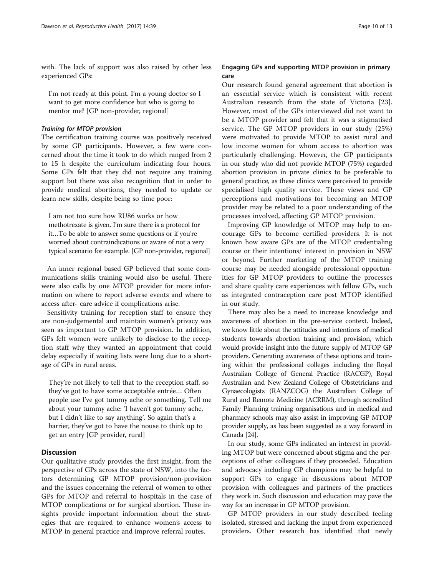with. The lack of support was also raised by other less experienced GPs:

I'm not ready at this point. I'm a young doctor so I want to get more confidence but who is going to mentor me? [GP non-provider, regional]

#### Training for MTOP provision

The certification training course was positively received by some GP participants. However, a few were concerned about the time it took to do which ranged from 2 to 15 h despite the curriculum indicating four hours. Some GPs felt that they did not require any training support but there was also recognition that in order to provide medical abortions, they needed to update or learn new skills, despite being so time poor:

I am not too sure how RU86 works or how methotrexate is given. I'm sure there is a protocol for it…To be able to answer some questions or if you're worried about contraindications or aware of not a very typical scenario for example. [GP non-provider, regional]

An inner regional based GP believed that some communications skills training would also be useful. There were also calls by one MTOP provider for more information on where to report adverse events and where to access after- care advice if complications arise.

Sensitivity training for reception staff to ensure they are non-judgemental and maintain women's privacy was seen as important to GP MTOP provision. In addition, GPs felt women were unlikely to disclose to the reception staff why they wanted an appointment that could delay especially if waiting lists were long due to a shortage of GPs in rural areas.

They're not likely to tell that to the reception staff, so they've got to have some acceptable entrée… Often people use I've got tummy ache or something. Tell me about your tummy ache: 'I haven't got tummy ache, but I didn't like to say anything'. So again that's a barrier, they've got to have the nouse to think up to get an entry [GP provider, rural]

# **Discussion**

Our qualitative study provides the first insight, from the perspective of GPs across the state of NSW, into the factors determining GP MTOP provision/non-provision and the issues concerning the referral of women to other GPs for MTOP and referral to hospitals in the case of MTOP complications or for surgical abortion. These insights provide important information about the strategies that are required to enhance women's access to MTOP in general practice and improve referral routes.

# Engaging GPs and supporting MTOP provision in primary care

Our research found general agreement that abortion is an essential service which is consistent with recent Australian research from the state of Victoria [\[23](#page-12-0)]. However, most of the GPs interviewed did not want to be a MTOP provider and felt that it was a stigmatised service. The GP MTOP providers in our study (25%) were motivated to provide MTOP to assist rural and low income women for whom access to abortion was particularly challenging. However, the GP participants in our study who did not provide MTOP (75%) regarded abortion provision in private clinics to be preferable to general practice, as these clinics were perceived to provide specialised high quality service. These views and GP perceptions and motivations for becoming an MTOP provider may be related to a poor understanding of the processes involved, affecting GP MTOP provision.

Improving GP knowledge of MTOP may help to encourage GPs to become certified providers. It is not known how aware GPs are of the MTOP credentialing course or their intentions/ interest in provision in NSW or beyond. Further marketing of the MTOP training course may be needed alongside professional opportunities for GP MTOP providers to outline the processes and share quality care experiences with fellow GPs, such as integrated contraception care post MTOP identified in our study.

There may also be a need to increase knowledge and awareness of abortion in the pre-service context. Indeed, we know little about the attitudes and intentions of medical students towards abortion training and provision, which would provide insight into the future supply of MTOP GP providers. Generating awareness of these options and training within the professional colleges including the Royal Australian College of General Practice (RACGP), Royal Australian and New Zealand College of Obstetricians and Gynaecologists (RANZCOG) the Australian College of Rural and Remote Medicine (ACRRM), through accredited Family Planning training organisations and in medical and pharmacy schools may also assist in improving GP MTOP provider supply, as has been suggested as a way forward in Canada [[24](#page-12-0)].

In our study, some GPs indicated an interest in providing MTOP but were concerned about stigma and the perceptions of other colleagues if they proceeded. Education and advocacy including GP champions may be helpful to support GPs to engage in discussions about MTOP provision with colleagues and partners of the practices they work in. Such discussion and education may pave the way for an increase in GP MTOP provision.

GP MTOP providers in our study described feeling isolated, stressed and lacking the input from experienced providers. Other research has identified that newly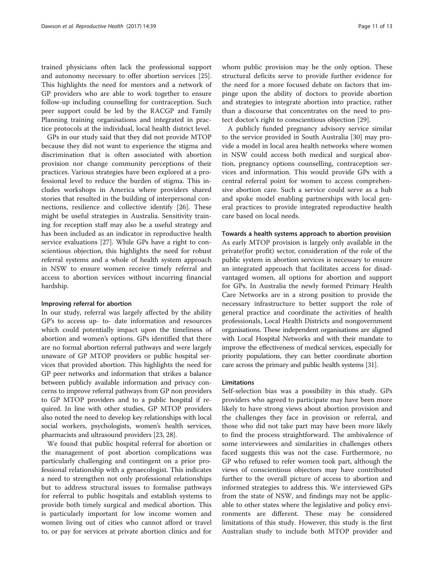trained physicians often lack the professional support and autonomy necessary to offer abortion services [\[25](#page-12-0)]. This highlights the need for mentors and a network of GP providers who are able to work together to ensure follow-up including counselling for contraception. Such peer support could be led by the RACGP and Family Planning training organisations and integrated in practice protocols at the individual, local health district level.

GPs in our study said that they did not provide MTOP because they did not want to experience the stigma and discrimination that is often associated with abortion provision nor change community perceptions of their practices. Various strategies have been explored at a professional level to reduce the burden of stigma. This includes workshops in America where providers shared stories that resulted in the building of interpersonal connections, resilience and collective identify [[26](#page-12-0)]. These might be useful strategies in Australia. Sensitivity training for reception staff may also be a useful strategy and has been included as an indicator in reproductive health service evaluations [[27](#page-12-0)]. While GPs have a right to conscientious objection, this highlights the need for robust referral systems and a whole of health system approach in NSW to ensure women receive timely referral and access to abortion services without incurring financial hardship.

#### Improving referral for abortion

In our study, referral was largely affected by the ability GP's to access up- to- date information and resources which could potentially impact upon the timeliness of abortion and women's options. GPs identified that there are no formal abortion referral pathways and were largely unaware of GP MTOP providers or public hospital services that provided abortion. This highlights the need for GP peer networks and information that strikes a balance between publicly available information and privacy concerns to improve referral pathways from GP non providers to GP MTOP providers and to a public hospital if required. In line with other studies, GP MTOP providers also noted the need to develop key relationships with local social workers, psychologists, women's health services, pharmacists and ultrasound providers [[23](#page-12-0), [28\]](#page-12-0).

We found that public hospital referral for abortion or the management of post abortion complications was particularly challenging and contingent on a prior professional relationship with a gynaecologist. This indicates a need to strengthen not only professional relationships but to address structural issues to formalise pathways for referral to public hospitals and establish systems to provide both timely surgical and medical abortion. This is particularly important for low income women and women living out of cities who cannot afford or travel to, or pay for services at private abortion clinics and for whom public provision may be the only option. These structural deficits serve to provide further evidence for the need for a more focused debate on factors that impinge upon the ability of doctors to provide abortion and strategies to integrate abortion into practice, rather than a discourse that concentrates on the need to protect doctor's right to conscientious objection [[29\]](#page-12-0).

A publicly funded pregnancy advisory service similar to the service provided in South Australia [\[30](#page-12-0)] may provide a model in local area health networks where women in NSW could access both medical and surgical abortion, pregnancy options counselling, contraception services and information. This would provide GPs with a central referral point for women to access comprehensive abortion care. Such a service could serve as a hub and spoke model enabling partnerships with local general practices to provide integrated reproductive health care based on local needs.

#### Towards a health systems approach to abortion provision

As early MTOP provision is largely only available in the private(for profit) sector, consideration of the role of the public system in abortion services is necessary to ensure an integrated approach that facilitates access for disadvantaged women, all options for abortion and support for GPs. In Australia the newly formed Primary Health Care Networks are in a strong position to provide the necessary infrastructure to better support the role of general practice and coordinate the activities of health professionals, Local Health Districts and nongovernment organisations. These independent organisations are aligned with Local Hospital Networks and with their mandate to improve the effectiveness of medical services, especially for priority populations, they can better coordinate abortion care across the primary and public health systems [[31](#page-12-0)].

#### Limitations

Self-selection bias was a possibility in this study. GPs providers who agreed to participate may have been more likely to have strong views about abortion provision and the challenges they face in provision or referral, and those who did not take part may have been more likely to find the process straightforward. The ambivalence of some interviewees and similarities in challenges others faced suggests this was not the case. Furthermore, no GP who refused to refer women took part, although the views of conscientious objectors may have contributed further to the overall picture of access to abortion and informed strategies to address this. We interviewed GPs from the state of NSW, and findings may not be applicable to other states where the legislative and policy environments are different. These may be considered limitations of this study. However, this study is the first Australian study to include both MTOP provider and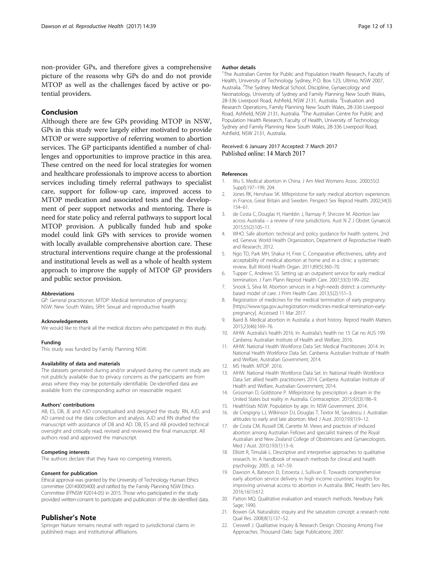<span id="page-11-0"></span>non-provider GPs, and therefore gives a comprehensive picture of the reasons why GPs do and do not provide MTOP as well as the challenges faced by active or potential providers.

# Conclusion

Although there are few GPs providing MTOP in NSW, GPs in this study were largely either motivated to provide MTOP or were supportive of referring women to abortion services. The GP participants identified a number of challenges and opportunities to improve practice in this area. These centred on the need for local strategies for women and healthcare professionals to improve access to abortion services including timely referral pathways to specialist care, support for follow-up care, improved access to MTOP medication and associated tests and the development of peer support networks and mentoring. There is need for state policy and referral pathways to support local MTOP provision. A publically funded hub and spoke model could link GPs with services to provide women with locally available comprehensive abortion care. These structural interventions require change at the professional and institutional levels as well as a whole of health system approach to improve the supply of MTOP GP providers and public sector provision.

#### Abbreviations

GP: General practitioner; MTOP: Medical termination of pregnancy; NSW: New South Wales; SRH: Sexual and reproductive health

#### Acknowledgements

We would like to thank all the medical doctors who participated in this study.

#### Funding

This study was funded by Family Planning NSW.

#### Availability of data and materials

The datasets generated during and/or analysed during the current study are not publicly available due to privacy concerns as the participants are from areas where they may be potentially identifiable. De-identified data are available from the corresponding author on reasonable request.

#### Authors' contributions

AB, ES, DB, JE and AJD conceptualised and designed the study. RN, AJD, and AD carried out the data collection and analysis. AJD and RN drafted the manuscript with assistance of DB and AD. DB, ES and AB provided technical oversight and critically read, revised and reviewed the final manuscript. All authors read and approved the manuscript.

#### Competing interests

The authors declare that they have no competing interests.

#### Consent for publication

Ethical approval was granted by the University of Technology Human Ethics committee (20140005400) and ratified by the Family Planning NSW Ethics Committee (FPNSW R2014-05) in 2015. Those who participated in the study provided written-consent to participate and publication of the de identified data.

#### Publisher's Note

Springer Nature remains neutral with regard to jurisdictional claims in published maps and institutional affiliations.

#### Author details

<sup>1</sup>The Australian Centre for Public and Population Health Research, Faculty of Health, University of Technology Sydney, P.O. Box 123, Ultimo, NSW 2007, Australia. <sup>2</sup>The Sydney Medical School, Discipline, Gynaecology and Neonatology, University of Sydney and Family Planning New South Wales, 28-336 Liverpool Road, Ashfield, NSW 2131, Australia. <sup>3</sup> Evaluation and Research Operations, Family Planning New South Wales, 28-336 Liverpool Road, Ashfield, NSW 2131, Australia. <sup>4</sup>The Australian Centre for Public and Population Health Research, Faculty of Health, University of Technology Sydney and Family Planning New South Wales, 28-336 Liverpool Road, Ashfield, NSW 2131, Australia.

#### Received: 6 January 2017 Accepted: 7 March 2017 Published online: 14 March 2017

#### References

- 1. Wu S. Medical abortion in China. J Am Med Womens Assoc. 2000;55(3 Suppl):197–199, 204.
- 2. Jones RK, Henshaw SK. Mifepristone for early medical abortion: experiences in France, Great Britain and Sweden. Perspect Sex Reprod Health. 2002;34(3): 154–61.
- 3. de Costa C, Douglas H, Hamblin J, Ramsay P, Shircore M. Abortion law across Australia – a review of nine jurisdictions. Aust N Z J Obstet Gynaecol. 2015;55(2):105–11.
- 4. WHO. Safe abortion: technical and policy guidance for health systems. 2nd ed. Geneva: World Health Organization, Department of Reproductive Health and Research; 2012.
- 5. Ngo TD, Park MH, Shakur H, Free C. Comparative effectiveness, safety and acceptability of medical abortion at home and in a clinic: a systematic review. Bull World Health Organ. 2011;89(5):360–70.
- 6. Tupper C, Andrews SS. Setting up an outpatient service for early medical termination. J Fam Plann Reprod Health Care. 2007;33(3):199–202.
- 7. Snook S, Silva M. Abortion services in a high-needs district: a communitybased model of care. J Prim Health Care. 2013;5(2):151–3.
- 8. Registration of medicines for the medical termination of early pregnancy. [[https://www.tga.gov.au/registration-medicines-medical-termination-early](https://www.tga.gov.au/registration-medicines-medical-termination-early-pregnancy)[pregnancy\]](https://www.tga.gov.au/registration-medicines-medical-termination-early-pregnancy). Accessed 11 Mar 2017.
- 9. Baird B. Medical abortion in Australia: a short history. Reprod Health Matters. 2015;23(46):169–76.
- 10. AIHW. Australia's health 2016. In: Australia's health no 15 Cat no AUS 199. Canberra: Australian Institute of Health and Welfare; 2016.
- 11. AIHW. National Health Workforce Data Set: Medical Practitioners 2014. In: National Health Workforce Data Set. Canberra: Australian Institute of Health and Welfare, Australian Government; 2014.
- 12. MS Health. MTOP. 2016.
- 13. AIHW. National Health Workforce Data Set. In: National Health Workforce Data Set: allied health practitioners 2014. Canberra: Australian Institute of Health and Welfare, Australian Government; 2014.
- 14. Grossman D, Goldstone P. Mifepristone by prescription: a dream in the United States but reality in Australia. Contraception. 2015;92(3):186–9.
- 15. HealthStats NSW. Population by age. In: NSW Government. 2014.
- 16. de Crespigny LJ, Wilkinson DJ, Douglas T, Textor M, Savulescu J. Australian attitudes to early and late abortion. Med J Aust. 2010;193(1):9–12.
- 17. de Costa CM, Russell DB, Carrette M. Views and practices of induced abortion among Australian Fellows and specialist trainees of the Royal Australian and New Zealand College of Obstetricians and Gynaecologists. Med J Aust. 2010;193(1):13–6.
- 18. Elliott R, Timulak L. Descriptive and interpretive approaches to qualitative research. In: A handbook of research methods for clinical and health psychology. 2005. p. 147–59.
- 19. Dawson A, Bateson D, Estoesta J, Sullivan E. Towards comprehensive early abortion service delivery in high income countries: Insights for improving universal access to abortion in Australia. BMC Health Serv Res. 2016;16(1):612.
- 20. Patton MQ. Qualitative evaluation and research methods. Newbury Park: Sage; 1990.
- 21. Bowen GA. Naturalistic inquiry and the saturation concept: a research note. Qual Res. 2008;8(1):137–52.
- 22. Creswell J. Qualitative Inquiry & Research Design: Choosing Among Five Approaches. Thousand Oaks: Sage Publications; 2007.